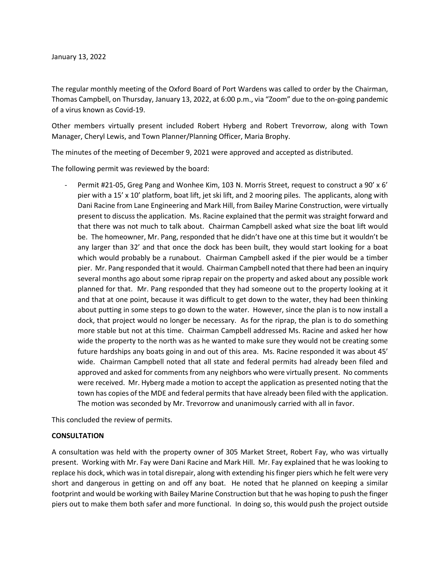The regular monthly meeting of the Oxford Board of Port Wardens was called to order by the Chairman, Thomas Campbell, on Thursday, January 13, 2022, at 6:00 p.m., via "Zoom" due to the on-going pandemic of a virus known as Covid-19.

Other members virtually present included Robert Hyberg and Robert Trevorrow, along with Town Manager, Cheryl Lewis, and Town Planner/Planning Officer, Maria Brophy.

The minutes of the meeting of December 9, 2021 were approved and accepted as distributed.

The following permit was reviewed by the board:

Permit #21-05, Greg Pang and Wonhee Kim, 103 N. Morris Street, request to construct a 90' x 6' pier with a 15' x 10' platform, boat lift, jet ski lift, and 2 mooring piles. The applicants, along with Dani Racine from Lane Engineering and Mark Hill, from Bailey Marine Construction, were virtually present to discuss the application. Ms. Racine explained that the permit was straight forward and that there was not much to talk about. Chairman Campbell asked what size the boat lift would be. The homeowner, Mr. Pang, responded that he didn't have one at this time but it wouldn't be any larger than 32' and that once the dock has been built, they would start looking for a boat which would probably be a runabout. Chairman Campbell asked if the pier would be a timber pier. Mr. Pang responded that it would. Chairman Campbell noted that there had been an inquiry several months ago about some riprap repair on the property and asked about any possible work planned for that. Mr. Pang responded that they had someone out to the property looking at it and that at one point, because it was difficult to get down to the water, they had been thinking about putting in some steps to go down to the water. However, since the plan is to now install a dock, that project would no longer be necessary. As for the riprap, the plan is to do something more stable but not at this time. Chairman Campbell addressed Ms. Racine and asked her how wide the property to the north was as he wanted to make sure they would not be creating some future hardships any boats going in and out of this area. Ms. Racine responded it was about 45' wide. Chairman Campbell noted that all state and federal permits had already been filed and approved and asked for comments from any neighbors who were virtually present. No comments were received. Mr. Hyberg made a motion to accept the application as presented noting that the town has copies of the MDE and federal permits that have already been filed with the application. The motion was seconded by Mr. Trevorrow and unanimously carried with all in favor.

This concluded the review of permits.

## **CONSULTATION**

A consultation was held with the property owner of 305 Market Street, Robert Fay, who was virtually present. Working with Mr. Fay were Dani Racine and Mark Hill. Mr. Fay explained that he was looking to replace his dock, which was in total disrepair, along with extending his finger piers which he felt were very short and dangerous in getting on and off any boat. He noted that he planned on keeping a similar footprint and would be working with Bailey Marine Construction but that he was hoping to push the finger piers out to make them both safer and more functional. In doing so, this would push the project outside